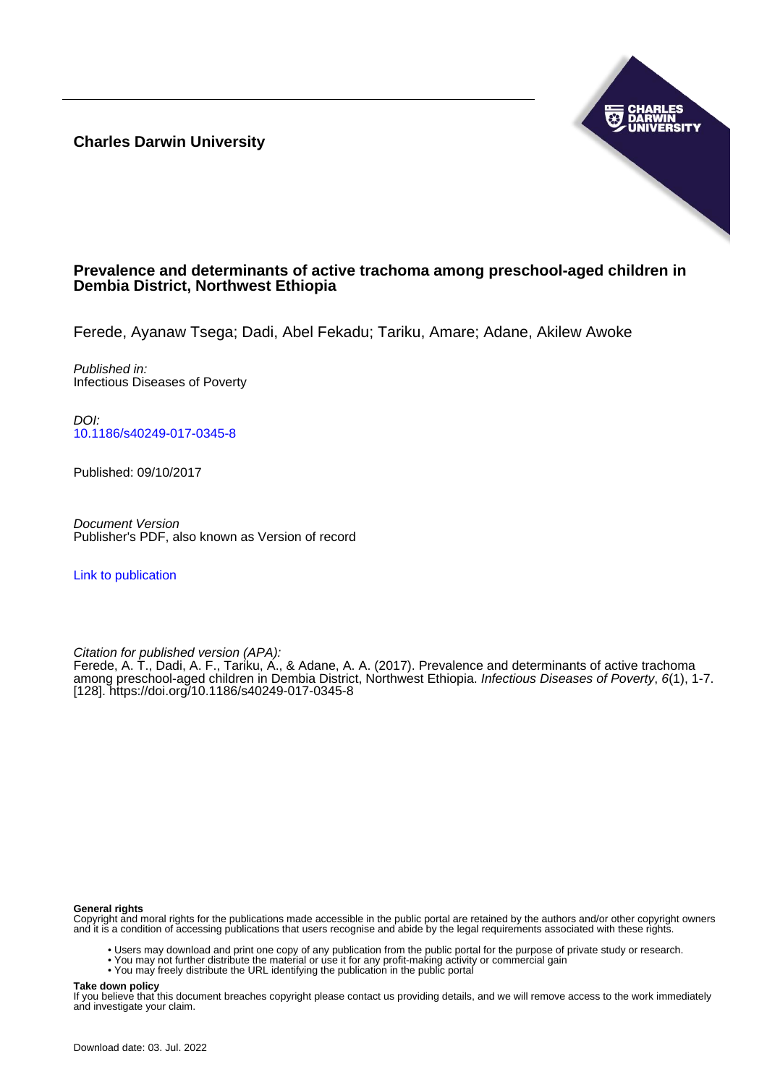**Charles Darwin University**



## **Prevalence and determinants of active trachoma among preschool-aged children in Dembia District, Northwest Ethiopia**

Ferede, Ayanaw Tsega; Dadi, Abel Fekadu; Tariku, Amare; Adane, Akilew Awoke

Published in: Infectious Diseases of Poverty

DOI: [10.1186/s40249-017-0345-8](https://doi.org/10.1186/s40249-017-0345-8)

Published: 09/10/2017

Document Version Publisher's PDF, also known as Version of record

[Link to publication](https://researchers.cdu.edu.au/en/publications/fd6b147a-01be-4f98-af93-6e8179825c84)

Citation for published version (APA):

Ferede, A. T., Dadi, A. F., Tariku, A., & Adane, A. A. (2017). Prevalence and determinants of active trachoma among preschool-aged children in Dembia District, Northwest Ethiopia. Infectious Diseases of Poverty, 6(1), 1-7. [128]. <https://doi.org/10.1186/s40249-017-0345-8>

#### **General rights**

Copyright and moral rights for the publications made accessible in the public portal are retained by the authors and/or other copyright owners and it is a condition of accessing publications that users recognise and abide by the legal requirements associated with these rights.

- Users may download and print one copy of any publication from the public portal for the purpose of private study or research.
- You may not further distribute the material or use it for any profit-making activity or commercial gain
- You may freely distribute the URL identifying the publication in the public portal

#### **Take down policy**

If you believe that this document breaches copyright please contact us providing details, and we will remove access to the work immediately and investigate your claim.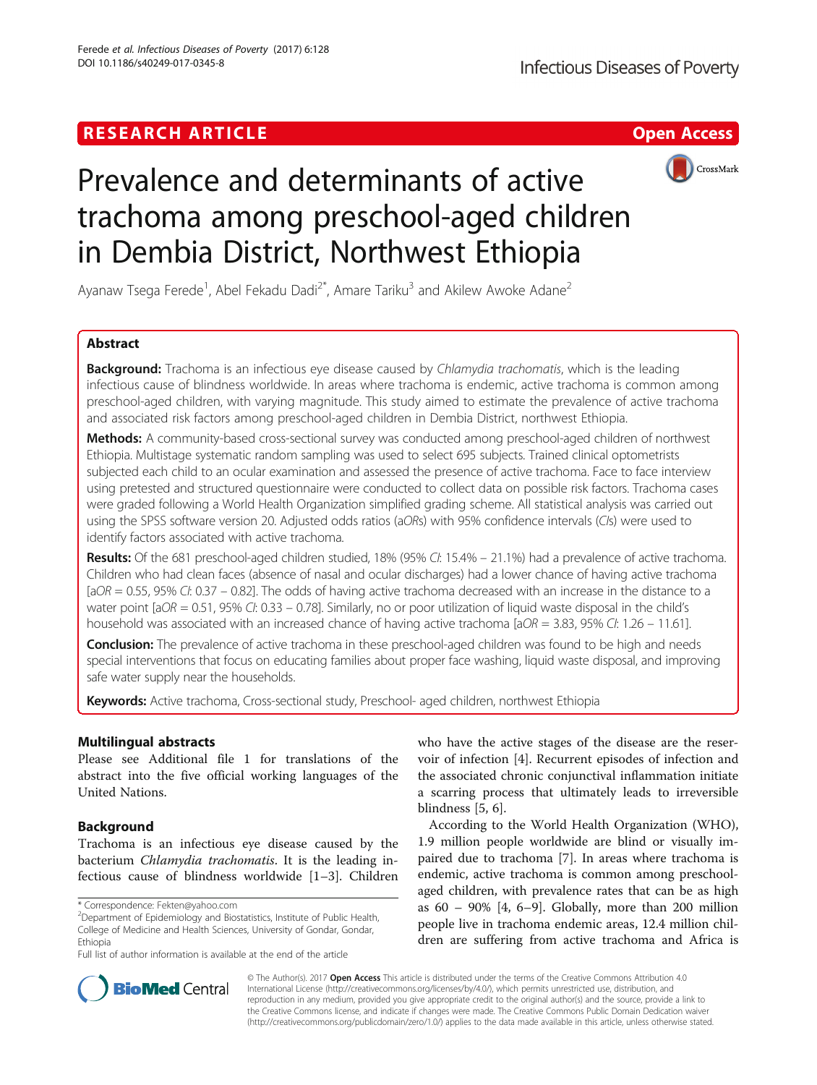## **RESEARCH ARTICLE Example 2018 12:00 Department of the CONNECTION CONNECTION CONNECTION CONNECTION**



# Prevalence and determinants of active trachoma among preschool-aged children in Dembia District, Northwest Ethiopia

Ayanaw Tsega Ferede<sup>1</sup>, Abel Fekadu Dadi<sup>2\*</sup>, Amare Tariku<sup>3</sup> and Akilew Awoke Adane<sup>2</sup>

## Abstract

**Background:** Trachoma is an infectious eye disease caused by Chlamydia trachomatis, which is the leading infectious cause of blindness worldwide. In areas where trachoma is endemic, active trachoma is common among preschool-aged children, with varying magnitude. This study aimed to estimate the prevalence of active trachoma and associated risk factors among preschool-aged children in Dembia District, northwest Ethiopia.

Methods: A community-based cross-sectional survey was conducted among preschool-aged children of northwest Ethiopia. Multistage systematic random sampling was used to select 695 subjects. Trained clinical optometrists subjected each child to an ocular examination and assessed the presence of active trachoma. Face to face interview using pretested and structured questionnaire were conducted to collect data on possible risk factors. Trachoma cases were graded following a World Health Organization simplified grading scheme. All statistical analysis was carried out using the SPSS software version 20. Adjusted odds ratios (aORs) with 95% confidence intervals (CIs) were used to identify factors associated with active trachoma.

Results: Of the 681 preschool-aged children studied, 18% (95% CI: 15.4% – 21.1%) had a prevalence of active trachoma. Children who had clean faces (absence of nasal and ocular discharges) had a lower chance of having active trachoma  $[aOR = 0.55, 95\% Ct: 0.37 - 0.82]$ . The odds of having active trachoma decreased with an increase in the distance to a water point  $[aOR = 0.51, 95\% Ct: 0.33 - 0.78]$ . Similarly, no or poor utilization of liquid waste disposal in the child's household was associated with an increased chance of having active trachoma [ $aOR = 3.83$ , 95% CI: 1.26 – 11.61].

Conclusion: The prevalence of active trachoma in these preschool-aged children was found to be high and needs special interventions that focus on educating families about proper face washing, liquid waste disposal, and improving safe water supply near the households.

Keywords: Active trachoma, Cross-sectional study, Preschool- aged children, northwest Ethiopia

## Multilingual abstracts

Please see Additional file [1](#page-6-0) for translations of the abstract into the five official working languages of the United Nations.

## Background

Trachoma is an infectious eye disease caused by the bacterium Chlamydia trachomatis. It is the leading infectious cause of blindness worldwide [[1](#page-6-0)–[3](#page-6-0)]. Children

<sup>2</sup>Department of Epidemiology and Biostatistics, Institute of Public Health, College of Medicine and Health Sciences, University of Gondar, Gondar, Ethiopia

Full list of author information is available at the end of the article

who have the active stages of the disease are the reservoir of infection [[4\]](#page-6-0). Recurrent episodes of infection and the associated chronic conjunctival inflammation initiate a scarring process that ultimately leads to irreversible blindness [\[5, 6\]](#page-6-0).

According to the World Health Organization (WHO), 1.9 million people worldwide are blind or visually impaired due to trachoma [\[7](#page-6-0)]. In areas where trachoma is endemic, active trachoma is common among preschoolaged children, with prevalence rates that can be as high as 60 – 90% [[4](#page-6-0), [6](#page-6-0)–[9\]](#page-6-0). Globally, more than 200 million people live in trachoma endemic areas, 12.4 million children are suffering from active trachoma and Africa is



© The Author(s). 2017 **Open Access** This article is distributed under the terms of the Creative Commons Attribution 4.0 International License [\(http://creativecommons.org/licenses/by/4.0/](http://creativecommons.org/licenses/by/4.0/)), which permits unrestricted use, distribution, and reproduction in any medium, provided you give appropriate credit to the original author(s) and the source, provide a link to the Creative Commons license, and indicate if changes were made. The Creative Commons Public Domain Dedication waiver [\(http://creativecommons.org/publicdomain/zero/1.0/](http://creativecommons.org/publicdomain/zero/1.0/)) applies to the data made available in this article, unless otherwise stated.

<sup>\*</sup> Correspondence: [Fekten@yahoo.com](mailto:Fekten@yahoo.com) <sup>2</sup>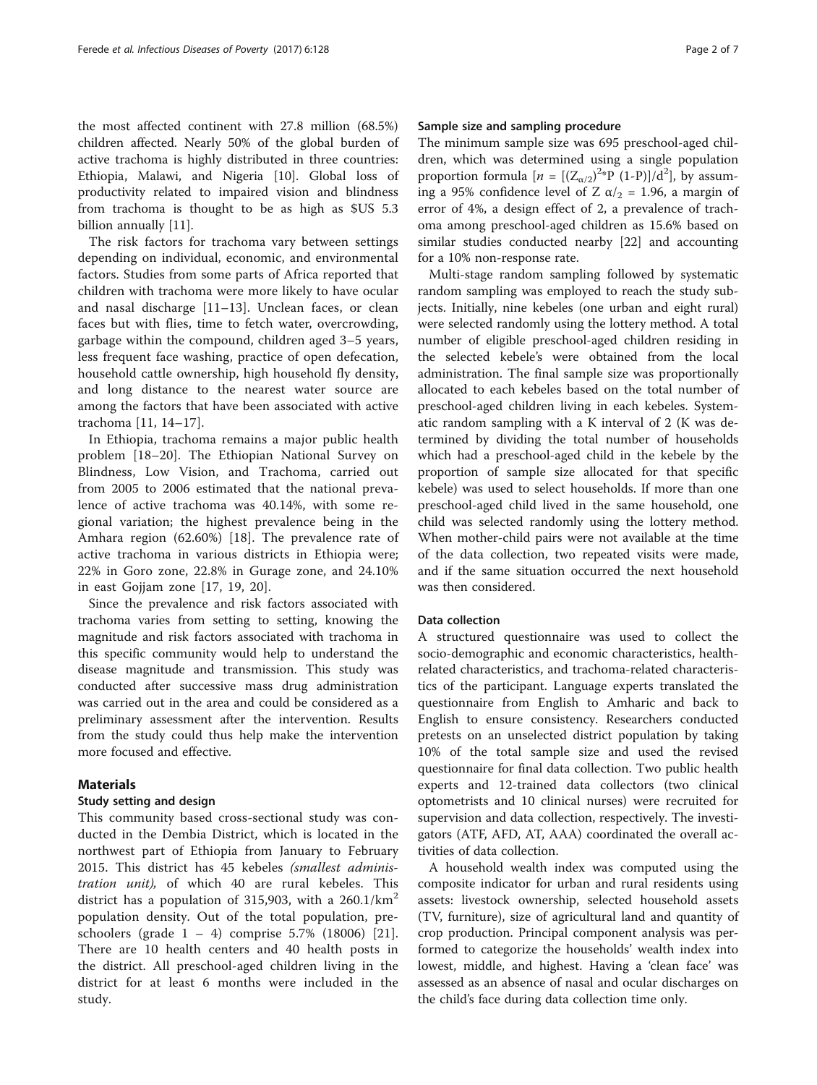the most affected continent with 27.8 million (68.5%) children affected. Nearly 50% of the global burden of active trachoma is highly distributed in three countries: Ethiopia, Malawi, and Nigeria [[10\]](#page-6-0). Global loss of productivity related to impaired vision and blindness from trachoma is thought to be as high as \$US 5.3 billion annually [\[11\]](#page-6-0).

The risk factors for trachoma vary between settings depending on individual, economic, and environmental factors. Studies from some parts of Africa reported that children with trachoma were more likely to have ocular and nasal discharge [[11](#page-6-0)–[13\]](#page-6-0). Unclean faces, or clean faces but with flies, time to fetch water, overcrowding, garbage within the compound, children aged 3–5 years, less frequent face washing, practice of open defecation, household cattle ownership, high household fly density, and long distance to the nearest water source are among the factors that have been associated with active trachoma [\[11](#page-6-0), [14](#page-6-0)–[17](#page-6-0)].

In Ethiopia, trachoma remains a major public health problem [\[18](#page-6-0)–[20](#page-6-0)]. The Ethiopian National Survey on Blindness, Low Vision, and Trachoma, carried out from 2005 to 2006 estimated that the national prevalence of active trachoma was 40.14%, with some regional variation; the highest prevalence being in the Amhara region (62.60%) [\[18](#page-6-0)]. The prevalence rate of active trachoma in various districts in Ethiopia were; 22% in Goro zone, 22.8% in Gurage zone, and 24.10% in east Gojjam zone [[17, 19](#page-6-0), [20](#page-6-0)].

Since the prevalence and risk factors associated with trachoma varies from setting to setting, knowing the magnitude and risk factors associated with trachoma in this specific community would help to understand the disease magnitude and transmission. This study was conducted after successive mass drug administration was carried out in the area and could be considered as a preliminary assessment after the intervention. Results from the study could thus help make the intervention more focused and effective.

#### **Materials**

#### Study setting and design

This community based cross-sectional study was conducted in the Dembia District, which is located in the northwest part of Ethiopia from January to February 2015. This district has 45 kebeles (smallest administration unit), of which 40 are rural kebeles. This district has a population of 315,903, with a  $260.1/km<sup>2</sup>$ population density. Out of the total population, preschoolers (grade 1 – 4) comprise 5.7% (18006) [\[21](#page-6-0)]. There are 10 health centers and 40 health posts in the district. All preschool-aged children living in the district for at least 6 months were included in the study.

## Sample size and sampling procedure

The minimum sample size was 695 preschool-aged children, which was determined using a single population proportion formula  $[n = [(Z_{\alpha/2})^{2*}P (1-P)]/d^2]$ , by assuming a 95% confidence level of Z  $\alpha/2$  = 1.96, a margin of error of 4%, a design effect of 2, a prevalence of trachoma among preschool-aged children as 15.6% based on similar studies conducted nearby [\[22\]](#page-6-0) and accounting for a 10% non-response rate.

Multi-stage random sampling followed by systematic random sampling was employed to reach the study subjects. Initially, nine kebeles (one urban and eight rural) were selected randomly using the lottery method. A total number of eligible preschool-aged children residing in the selected kebele's were obtained from the local administration. The final sample size was proportionally allocated to each kebeles based on the total number of preschool-aged children living in each kebeles. Systematic random sampling with a K interval of 2 (K was determined by dividing the total number of households which had a preschool-aged child in the kebele by the proportion of sample size allocated for that specific kebele) was used to select households. If more than one preschool-aged child lived in the same household, one child was selected randomly using the lottery method. When mother-child pairs were not available at the time of the data collection, two repeated visits were made, and if the same situation occurred the next household was then considered.

#### Data collection

A structured questionnaire was used to collect the socio-demographic and economic characteristics, healthrelated characteristics, and trachoma-related characteristics of the participant. Language experts translated the questionnaire from English to Amharic and back to English to ensure consistency. Researchers conducted pretests on an unselected district population by taking 10% of the total sample size and used the revised questionnaire for final data collection. Two public health experts and 12-trained data collectors (two clinical optometrists and 10 clinical nurses) were recruited for supervision and data collection, respectively. The investigators (ATF, AFD, AT, AAA) coordinated the overall activities of data collection.

A household wealth index was computed using the composite indicator for urban and rural residents using assets: livestock ownership, selected household assets (TV, furniture), size of agricultural land and quantity of crop production. Principal component analysis was performed to categorize the households' wealth index into lowest, middle, and highest. Having a 'clean face' was assessed as an absence of nasal and ocular discharges on the child's face during data collection time only.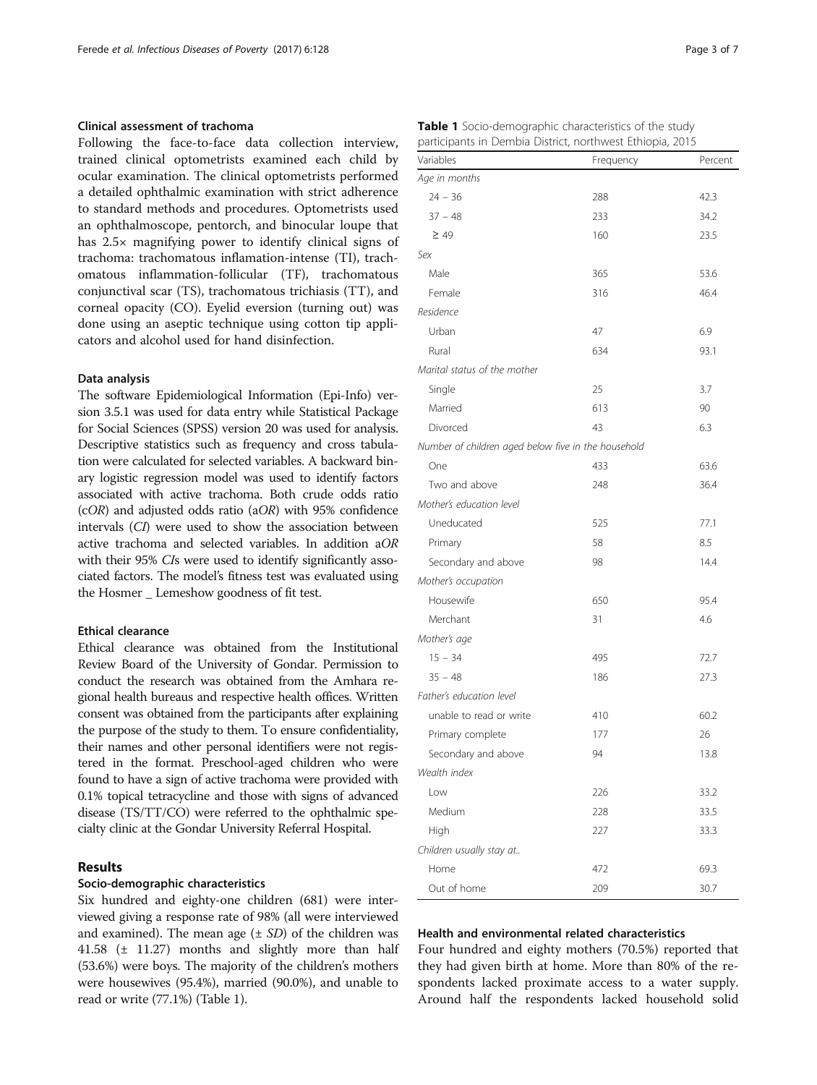#### Clinical assessment of trachoma

Following the face-to-face data collection interview, trained clinical optometrists examined each child by ocular examination. The clinical optometrists performed a detailed ophthalmic examination with strict adherence to standard methods and procedures. Optometrists used an ophthalmoscope, pentorch, and binocular loupe that has 2.5× magnifying power to identify clinical signs of trachoma: trachomatous inflamation-intense (TI), trachomatous inflammation-follicular (TF), trachomatous conjunctival scar (TS), trachomatous trichiasis (TT), and corneal opacity (CO). Eyelid eversion (turning out) was done using an aseptic technique using cotton tip applicators and alcohol used for hand disinfection.

#### Data analysis

The software Epidemiological Information (Epi-Info) version 3.5.1 was used for data entry while Statistical Package for Social Sciences (SPSS) version 20 was used for analysis. Descriptive statistics such as frequency and cross tabulation were calculated for selected variables. A backward binary logistic regression model was used to identify factors associated with active trachoma. Both crude odds ratio  $(cOR)$  and adjusted odds ratio (aOR) with 95% confidence intervals (CI) were used to show the association between active trachoma and selected variables. In addition aOR with their 95% CIs were used to identify significantly associated factors. The model's fitness test was evaluated using the Hosmer Lemeshow goodness of fit test.

#### Ethical clearance

Ethical clearance was obtained from the Institutional Review Board of the University of Gondar. Permission to conduct the research was obtained from the Amhara regional health bureaus and respective health offices. Written consent was obtained from the participants after explaining the purpose of the study to them. To ensure confidentiality, their names and other personal identifiers were not registered in the format. Preschool-aged children who were found to have a sign of active trachoma were provided with 0.1% topical tetracycline and those with signs of advanced disease (TS/TT/CO) were referred to the ophthalmic specialty clinic at the Gondar University Referral Hospital.

#### Results

#### Socio-demographic characteristics

Six hundred and eighty-one children (681) were interviewed giving a response rate of 98% (all were interviewed and examined). The mean age  $(\pm SD)$  of the children was 41.58  $(\pm$  11.27) months and slightly more than half (53.6%) were boys. The majority of the children's mothers were housewives (95.4%), married (90.0%), and unable to read or write (77.1%) (Table 1).

| Variables                                           | Frequency | Percent |
|-----------------------------------------------------|-----------|---------|
| Age in months                                       |           |         |
| $24 - 36$                                           | 288       | 42.3    |
| $37 - 48$                                           | 233       | 34.2    |
| $\geq 49$                                           | 160       | 23.5    |
| Sex                                                 |           |         |
| Male                                                | 365       | 53.6    |
| Female                                              | 316       | 46.4    |
| Residence                                           |           |         |
| Urban                                               | 47        | 6.9     |
| Rural                                               | 634       | 93.1    |
| Marital status of the mother                        |           |         |
| Single                                              | 25        | 3.7     |
| Married                                             | 613       | 90      |
| Divorced                                            | 43        | 6.3     |
| Number of children aged below five in the household |           |         |
| One                                                 | 433       | 63.6    |
| Two and above                                       | 248       | 36.4    |
| Mother's education level                            |           |         |
| Uneducated                                          | 525       | 77.1    |
| Primary                                             | 58        | 8.5     |
| Secondary and above                                 | 98        | 14.4    |
| Mother's occupation                                 |           |         |
| Housewife                                           | 650       | 95.4    |
| Merchant                                            | 31        | 4.6     |
| Mother's age                                        |           |         |
| $15 - 34$                                           | 495       | 72.7    |
| $35 - 48$                                           | 186       | 27.3    |
| Father's education level                            |           |         |
| unable to read or write                             | 410       | 60.2    |
| Primary complete                                    | 177       | 26      |
| Secondary and above                                 | 94        | 13.8    |
| Wealth index                                        |           |         |
| l ow                                                | 226       | 33.2    |
| Medium                                              | 228       | 33.5    |
| High                                                | 227       | 33.3    |
| Children usually stay at                            |           |         |
| Home                                                | 472       | 69.3    |
| Out of home                                         | 209       | 30.7    |

#### Table 1 Socio-demographic characteristics of the study participants in Dembia District, northwest Ethiopia, 2015

#### Health and environmental related characteristics

Four hundred and eighty mothers (70.5%) reported that they had given birth at home. More than 80% of the respondents lacked proximate access to a water supply. Around half the respondents lacked household solid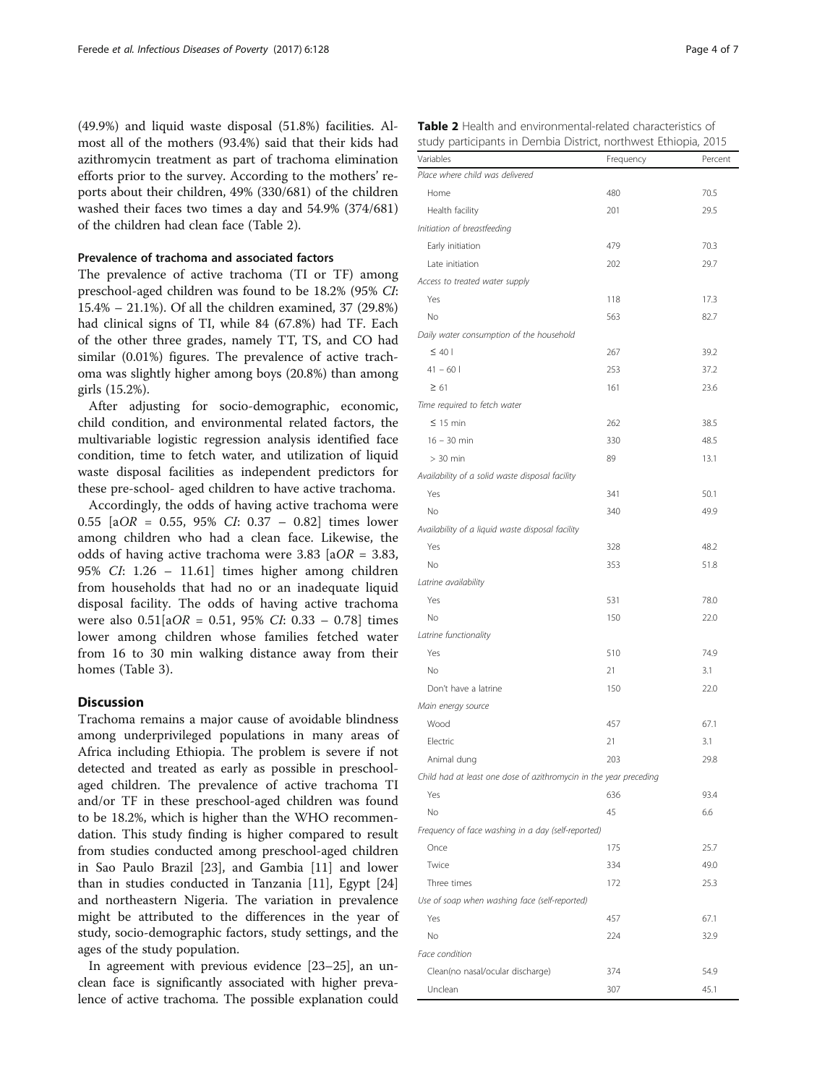(49.9%) and liquid waste disposal (51.8%) facilities. Almost all of the mothers (93.4%) said that their kids had azithromycin treatment as part of trachoma elimination efforts prior to the survey. According to the mothers' reports about their children, 49% (330/681) of the children washed their faces two times a day and 54.9% (374/681) of the children had clean face (Table 2).

## Prevalence of trachoma and associated factors

The prevalence of active trachoma (TI or TF) among preschool-aged children was found to be 18.2% (95% CI: 15.4% – 21.1%). Of all the children examined, 37 (29.8%) had clinical signs of TI, while 84 (67.8%) had TF. Each of the other three grades, namely TT, TS, and CO had similar (0.01%) figures. The prevalence of active trachoma was slightly higher among boys (20.8%) than among girls (15.2%).

After adjusting for socio-demographic, economic, child condition, and environmental related factors, the multivariable logistic regression analysis identified face condition, time to fetch water, and utilization of liquid waste disposal facilities as independent predictors for these pre-school- aged children to have active trachoma.

Accordingly, the odds of having active trachoma were 0.55 [aOR = 0.55, 95% CI: 0.37 – 0.82] times lower among children who had a clean face. Likewise, the odds of having active trachoma were 3.83 [ $aOR = 3.83$ , 95% CI: 1.26 – 11.61] times higher among children from households that had no or an inadequate liquid disposal facility. The odds of having active trachoma were also  $0.51[aOR = 0.51, 95\% CI: 0.33 - 0.78]$  times lower among children whose families fetched water from 16 to 30 min walking distance away from their homes (Table [3\)](#page-5-0).

## **Discussion**

Trachoma remains a major cause of avoidable blindness among underprivileged populations in many areas of Africa including Ethiopia. The problem is severe if not detected and treated as early as possible in preschoolaged children. The prevalence of active trachoma TI and/or TF in these preschool-aged children was found to be 18.2%, which is higher than the WHO recommendation. This study finding is higher compared to result from studies conducted among preschool-aged children in Sao Paulo Brazil [\[23\]](#page-7-0), and Gambia [[11](#page-6-0)] and lower than in studies conducted in Tanzania [[11](#page-6-0)], Egypt [[24](#page-7-0)] and northeastern Nigeria. The variation in prevalence might be attributed to the differences in the year of study, socio-demographic factors, study settings, and the ages of the study population.

In agreement with previous evidence [\[23](#page-7-0)–[25](#page-7-0)], an unclean face is significantly associated with higher prevalence of active trachoma. The possible explanation could

| Variables                                                         | Frequency | Percent |
|-------------------------------------------------------------------|-----------|---------|
| Place where child was delivered                                   |           |         |
| Home                                                              | 480       | 70.5    |
| Health facility                                                   | 201       | 29.5    |
| Initiation of breastfeeding                                       |           |         |
| Early initiation                                                  | 479       | 70.3    |
| Late initiation                                                   | 202       | 29.7    |
| Access to treated water supply                                    |           |         |
| Yes                                                               | 118       | 17.3    |
| No                                                                | 563       | 82.7    |
| Daily water consumption of the household                          |           |         |
| $\leq 40$                                                         | 267       | 39.2    |
| $41 - 60$                                                         | 253       | 37.2    |
| $\geq 61$                                                         | 161       | 23.6    |
| Time required to fetch water                                      |           |         |
| $\leq$ 15 min                                                     | 262       | 38.5    |
| $16 - 30$ min                                                     | 330       | 48.5    |
| $> 30$ min                                                        | 89        | 13.1    |
| Availability of a solid waste disposal facility                   |           |         |
| Yes                                                               | 341       | 50.1    |
| No                                                                | 340       | 49.9    |
| Availability of a liquid waste disposal facility                  |           |         |
| Yes                                                               | 328       | 48.2    |
| No                                                                | 353       | 51.8    |
| Latrine availability                                              |           |         |
| Yes                                                               | 531       | 78.0    |
| No                                                                | 150       | 22.0    |
| Latrine functionality                                             |           |         |
| Yes                                                               | 510       | 74.9    |
| No                                                                | 21        | 3.1     |
| Don't have a latrine                                              | 150       | 22.0    |
| Main energy source                                                |           |         |
| Wood                                                              | 457       | 67.1    |
| Electric                                                          | 21        | 3.1     |
| Animal dung                                                       | 203       | 29.8    |
| Child had at least one dose of azithromycin in the year preceding |           |         |
| Yes                                                               | 636       | 93.4    |
| No                                                                | 45        | 6.6     |
| Frequency of face washing in a day (self-reported)                |           |         |
| Once                                                              | 175       | 25.7    |
| Twice                                                             | 334       | 49.0    |
| Three times                                                       | 172       | 25.3    |
| Use of soap when washing face (self-reported)                     |           |         |
| Yes                                                               | 457       | 67.1    |
| No                                                                | 224       | 32.9    |
| Face condition                                                    |           |         |
| Clean(no nasal/ocular discharge)                                  | 374       | 54.9    |
| Unclean                                                           | 307       | 45.1    |

| <b>Table 2</b> Health and environmental-related characteristics of |  |  |  |  |
|--------------------------------------------------------------------|--|--|--|--|
| study participants in Dembia District, northwest Ethiopia, 2015    |  |  |  |  |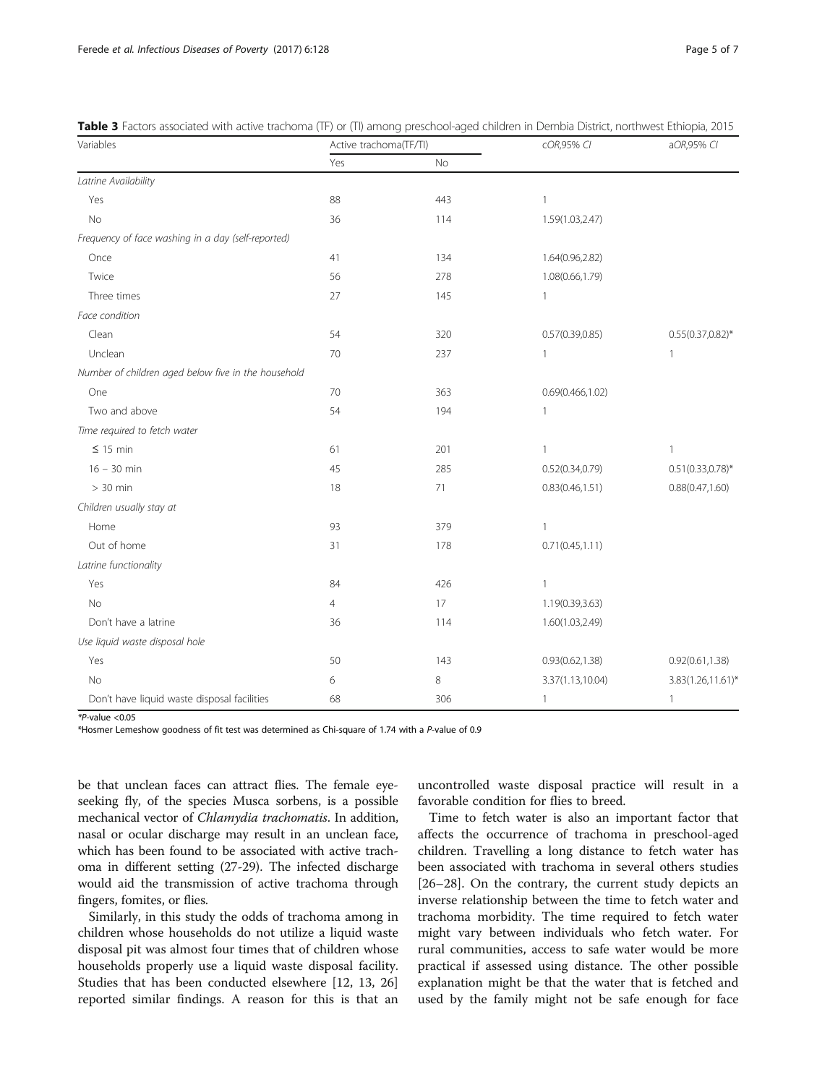| Variables                                           | Active trachoma(TF/TI) |           | cOR,95% CI        | aOR,95% CI           |  |
|-----------------------------------------------------|------------------------|-----------|-------------------|----------------------|--|
|                                                     | Yes                    | <b>No</b> |                   |                      |  |
| Latrine Availability                                |                        |           |                   |                      |  |
| Yes                                                 | 88                     | 443       | 1                 |                      |  |
| No                                                  | 36                     | 114       | 1.59(1.03,2.47)   |                      |  |
| Frequency of face washing in a day (self-reported)  |                        |           |                   |                      |  |
| Once                                                | 41                     | 134       | 1.64(0.96,2.82)   |                      |  |
| Twice                                               | 56                     | 278       | 1.08(0.66,1.79)   |                      |  |
| Three times                                         | 27                     | 145       | 1                 |                      |  |
| Face condition                                      |                        |           |                   |                      |  |
| Clean                                               | 54                     | 320       | 0.57(0.39, 0.85)  | $0.55(0.37, 0.82)$ * |  |
| Unclean                                             | 70                     | 237       | 1                 | 1                    |  |
| Number of children aged below five in the household |                        |           |                   |                      |  |
| One                                                 | 70                     | 363       | 0.69(0.466, 1.02) |                      |  |
| Two and above                                       | 54                     | 194       | 1                 |                      |  |
| Time required to fetch water                        |                        |           |                   |                      |  |
| $\leq$ 15 min                                       | 61                     | 201       | 1                 | 1                    |  |
| $16 - 30$ min                                       | 45                     | 285       | 0.52(0.34, 0.79)  | $0.51(0.33,0.78)$ *  |  |
| $> 30$ min                                          | 18                     | 71        | 0.83(0.46, 1.51)  | 0.88(0.47, 1.60)     |  |
| Children usually stay at                            |                        |           |                   |                      |  |
| Home                                                | 93                     | 379       | 1                 |                      |  |
| Out of home                                         | 31                     | 178       | 0.71(0.45, 1.11)  |                      |  |
| Latrine functionality                               |                        |           |                   |                      |  |
| Yes                                                 | 84                     | 426       | $\mathbf{1}$      |                      |  |
| <b>No</b>                                           | $\overline{4}$         | 17        | 1.19(0.39,3.63)   |                      |  |
| Don't have a latrine                                | 36                     | 114       | 1.60(1.03,2.49)   |                      |  |
| Use liquid waste disposal hole                      |                        |           |                   |                      |  |
| Yes                                                 | 50                     | 143       | 0.93(0.62, 1.38)  | 0.92(0.61, 1.38)     |  |
| No                                                  | 6                      | 8         | 3.37(1.13,10.04)  | 3.83(1.26,11.61)*    |  |
| Don't have liquid waste disposal facilities         | 68                     | 306       | 1                 | 1                    |  |

<span id="page-5-0"></span>Table 3 Factors associated with active trachoma (TF) or (TI) among preschool-aged children in Dembia District, northwest Ethiopia, 2015

 $*P$ -value  $< 0.05$ 

\*Hosmer Lemeshow goodness of fit test was determined as Chi-square of 1.74 with a P-value of 0.9

be that unclean faces can attract flies. The female eyeseeking fly, of the species Musca sorbens, is a possible mechanical vector of Chlamydia trachomatis. In addition, nasal or ocular discharge may result in an unclean face, which has been found to be associated with active trachoma in different setting (27-29). The infected discharge would aid the transmission of active trachoma through fingers, fomites, or flies.

Similarly, in this study the odds of trachoma among in children whose households do not utilize a liquid waste disposal pit was almost four times that of children whose households properly use a liquid waste disposal facility. Studies that has been conducted elsewhere [\[12](#page-6-0), [13](#page-6-0), [26](#page-7-0)] reported similar findings. A reason for this is that an

uncontrolled waste disposal practice will result in a favorable condition for flies to breed.

Time to fetch water is also an important factor that affects the occurrence of trachoma in preschool-aged children. Travelling a long distance to fetch water has been associated with trachoma in several others studies [[26](#page-7-0)–[28](#page-7-0)]. On the contrary, the current study depicts an inverse relationship between the time to fetch water and trachoma morbidity. The time required to fetch water might vary between individuals who fetch water. For rural communities, access to safe water would be more practical if assessed using distance. The other possible explanation might be that the water that is fetched and used by the family might not be safe enough for face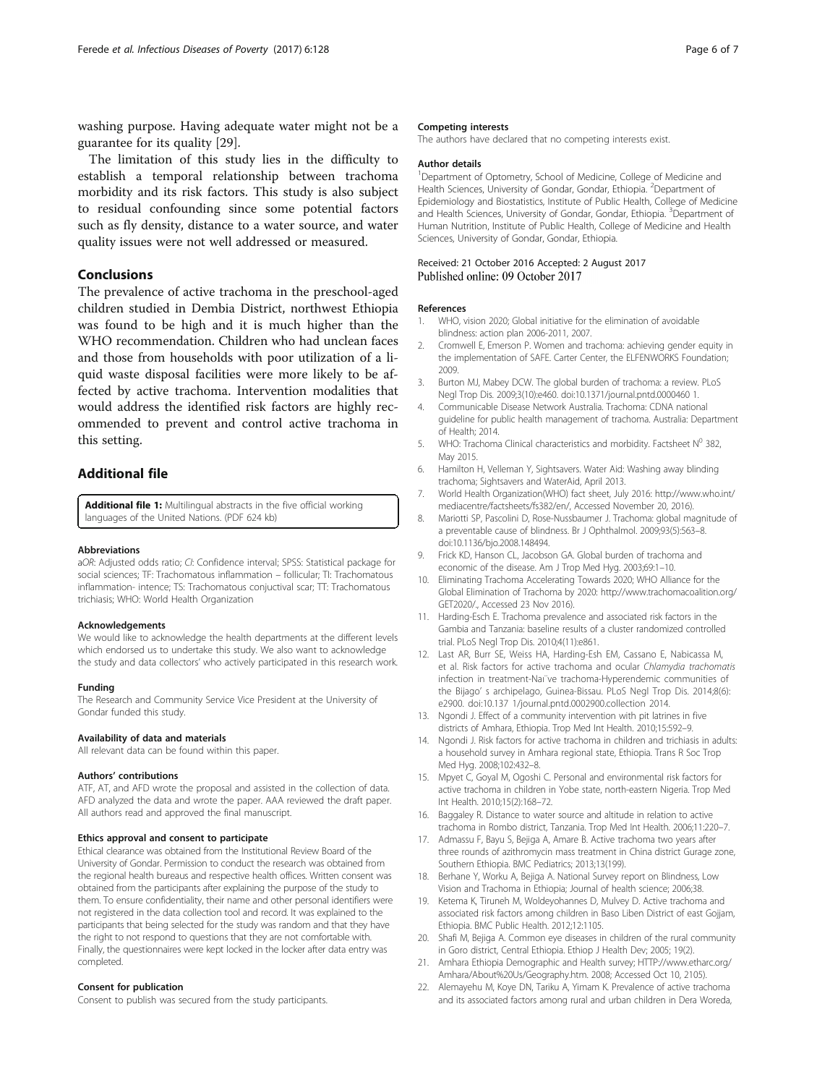<span id="page-6-0"></span>washing purpose. Having adequate water might not be a guarantee for its quality [\[29](#page-7-0)].

The limitation of this study lies in the difficulty to establish a temporal relationship between trachoma morbidity and its risk factors. This study is also subject to residual confounding since some potential factors such as fly density, distance to a water source, and water quality issues were not well addressed or measured.

## Conclusions

The prevalence of active trachoma in the preschool-aged children studied in Dembia District, northwest Ethiopia was found to be high and it is much higher than the WHO recommendation. Children who had unclean faces and those from households with poor utilization of a liquid waste disposal facilities were more likely to be affected by active trachoma. Intervention modalities that would address the identified risk factors are highly recommended to prevent and control active trachoma in this setting.

## Additional file

[Additional file 1:](dx.doi.org/10.1186/s40249-017-0345-8) Multilingual abstracts in the five official working languages of the United Nations. (PDF 624 kb)

#### Abbreviations

aOR: Adjusted odds ratio; CI: Confidence interval; SPSS: Statistical package for social sciences; TF: Trachomatous inflammation – follicular; TI: Trachomatous inflammation- intence; TS: Trachomatous conjuctival scar; TT: Trachomatous trichiasis; WHO: World Health Organization

#### Acknowledgements

We would like to acknowledge the health departments at the different levels which endorsed us to undertake this study. We also want to acknowledge the study and data collectors' who actively participated in this research work.

#### Funding

The Research and Community Service Vice President at the University of Gondar funded this study.

#### Availability of data and materials

All relevant data can be found within this paper.

#### Authors' contributions

ATF, AT, and AFD wrote the proposal and assisted in the collection of data. AFD analyzed the data and wrote the paper. AAA reviewed the draft paper. All authors read and approved the final manuscript.

#### Ethics approval and consent to participate

Ethical clearance was obtained from the Institutional Review Board of the University of Gondar. Permission to conduct the research was obtained from the regional health bureaus and respective health offices. Written consent was obtained from the participants after explaining the purpose of the study to them. To ensure confidentiality, their name and other personal identifiers were not registered in the data collection tool and record. It was explained to the participants that being selected for the study was random and that they have the right to not respond to questions that they are not comfortable with. Finally, the questionnaires were kept locked in the locker after data entry was completed.

#### Consent for publication

Consent to publish was secured from the study participants.

The authors have declared that no competing interests exist.

#### Author details

<sup>1</sup>Department of Optometry, School of Medicine, College of Medicine and Health Sciences, University of Gondar, Gondar, Ethiopia. <sup>2</sup>Department of Epidemiology and Biostatistics, Institute of Public Health, College of Medicine and Health Sciences, University of Gondar, Gondar, Ethiopia. <sup>3</sup>Department of Human Nutrition, Institute of Public Health, College of Medicine and Health Sciences, University of Gondar, Gondar, Ethiopia.

# Received: 21 October 2016 Accepted: 2 August 2017

#### References

- 1. WHO, vision 2020; Global initiative for the elimination of avoidable blindness: action plan 2006-2011, 2007.
- 2. Cromwell E, Emerson P. Women and trachoma: achieving gender equity in the implementation of SAFE. Carter Center, the ELFENWORKS Foundation; 2009.
- 3. Burton MJ, Mabey DCW. The global burden of trachoma: a review. PLoS Negl Trop Dis. 2009;3(10):e460. doi:[10.1371/journal.pntd.0000460 1.](http://dx.doi.org/10.1371/journal.pntd.0000460 1)
- 4. Communicable Disease Network Australia. Trachoma: CDNA national guideline for public health management of trachoma. Australia: Department of Health; 2014.
- 5. WHO: Trachoma Clinical characteristics and morbidity. Factsheet  $N^0$  382, May 2015.
- 6. Hamilton H, Velleman Y, Sightsavers. Water Aid: Washing away blinding trachoma; Sightsavers and WaterAid, April 2013.
- 7. World Health Organization(WHO) fact sheet, July 2016: [http://www.who.int/](http://www.who.int/mediacentre/factsheets/fs382/en/) [mediacentre/factsheets/fs382/en/](http://www.who.int/mediacentre/factsheets/fs382/en/), Accessed November 20, 2016).
- 8. Mariotti SP, Pascolini D, Rose-Nussbaumer J. Trachoma: global magnitude of a preventable cause of blindness. Br J Ophthalmol. 2009;93(5):563–8. doi[:10.1136/bjo.2008.148494.](http://dx.doi.org/10.1136/bjo.2008.148494)
- Frick KD, Hanson CL, Jacobson GA. Global burden of trachoma and economic of the disease. Am J Trop Med Hyg. 2003;69:1–10.
- 10. Eliminating Trachoma Accelerating Towards 2020; WHO Alliance for the Global Elimination of Trachoma by 2020: [http://www.trachomacoalition.org/](http://www.trachomacoalition.org/GET2020/) [GET2020/.](http://www.trachomacoalition.org/GET2020/), Accessed 23 Nov 2016).
- 11. Harding-Esch E. Trachoma prevalence and associated risk factors in the Gambia and Tanzania: baseline results of a cluster randomized controlled trial. PLoS Negl Trop Dis. 2010;4(11):e861.
- 12. Last AR, Burr SE, Weiss HA, Harding-Esh EM, Cassano E, Nabicassa M, et al. Risk factors for active trachoma and ocular Chlamydia trachomatis infection in treatment-Naı¨ve trachoma-Hyperendemic communities of the Bijago' s archipelago, Guinea-Bissau. PLoS Negl Trop Dis. 2014;8(6): e2900. doi:[10.137 1/journal.pntd.0002900.collection 2014.](https://doi.org/10.137%201/journal.pntd.0002900.collection%202014)
- 13. Ngondi J. Effect of a community intervention with pit latrines in five districts of Amhara, Ethiopia. Trop Med Int Health. 2010;15:592–9.
- 14. Ngondi J. Risk factors for active trachoma in children and trichiasis in adults: a household survey in Amhara regional state, Ethiopia. Trans R Soc Trop Med Hyg. 2008;102:432–8.
- 15. Mpyet C, Goyal M, Ogoshi C. Personal and environmental risk factors for active trachoma in children in Yobe state, north-eastern Nigeria. Trop Med Int Health. 2010;15(2):168–72.
- 16. Baggaley R. Distance to water source and altitude in relation to active trachoma in Rombo district, Tanzania. Trop Med Int Health. 2006;11:220–7.
- 17. Admassu F, Bayu S, Bejiga A, Amare B. Active trachoma two years after three rounds of azithromycin mass treatment in China district Gurage zone, Southern Ethiopia. BMC Pediatrics; 2013;13(199).
- 18. Berhane Y, Worku A, Bejiga A. National Survey report on Blindness, Low Vision and Trachoma in Ethiopia; Journal of health science; 2006;38.
- 19. Ketema K, Tiruneh M, Woldeyohannes D, Mulvey D. Active trachoma and associated risk factors among children in Baso Liben District of east Gojjam, Ethiopia. BMC Public Health. 2012;12:1105.
- 20. Shafi M, Bejiga A. Common eye diseases in children of the rural community in Goro district, Central Ethiopia. Ethiop J Health Dev; 2005; 19(2).
- 21. Amhara Ethiopia Demographic and Health survey; HTTP://www.etharc.org/ Amhara/About%20Us/Geography.htm. 2008; Accessed Oct 10, 2105).
- 22. Alemayehu M, Koye DN, Tariku A, Yimam K. Prevalence of active trachoma and its associated factors among rural and urban children in Dera Woreda,